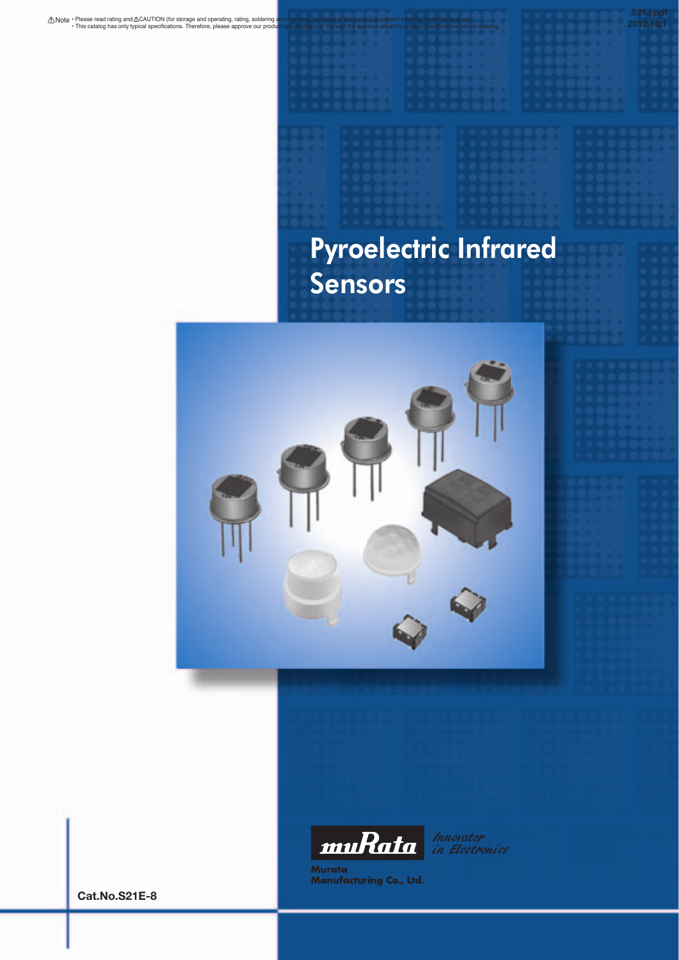# Pyroelectric Infrared Sensors

**2012.10.1**





Innovator<br>in Electronics

Murata<br>Manufacturing Co., Ltd.

**Cat.No.S21E-8**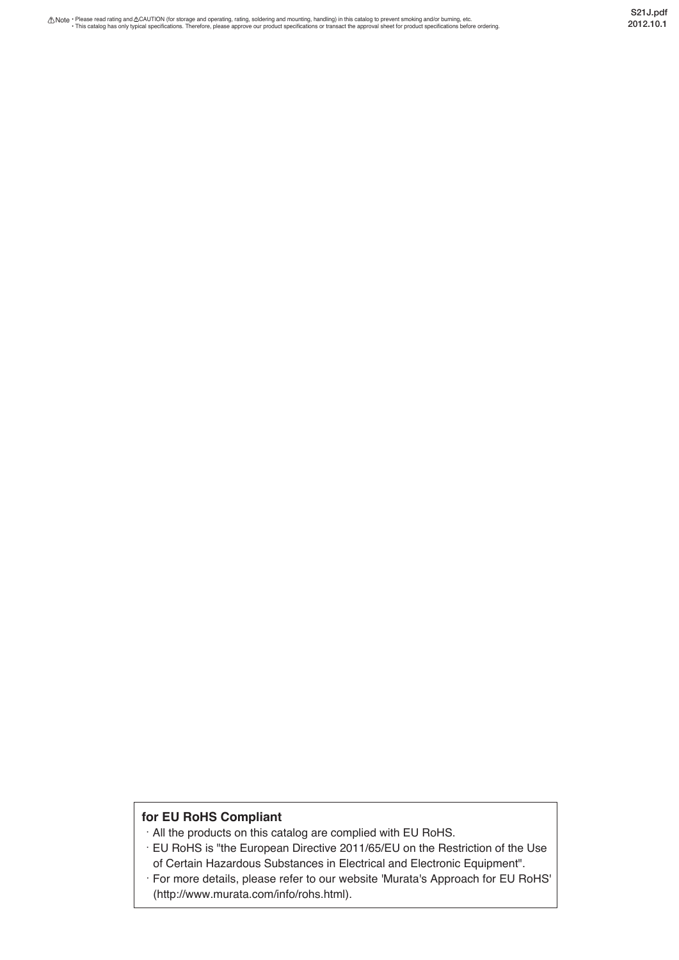## **for EU RoHS Compliant**

- All the products on this catalog are complied with EU RoHS.
- EU RoHS is "the European Directive 2011/65/EU on the Restriction of the Use of Certain Hazardous Substances in Electrical and Electronic Equipment".
- For more details, please refer to our website 'Murata's Approach for EU RoHS' (http://www.murata.com/info/rohs.html).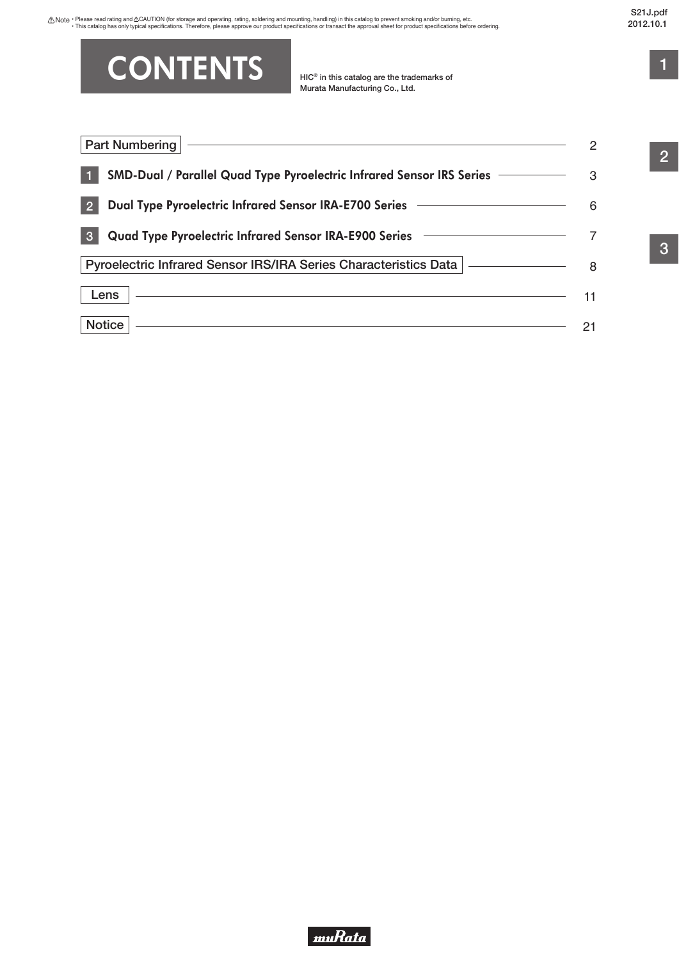# **CONTENTS**

**HIC® in this catalog are the trademarks of Murata Manufacturing Co., Ltd.**

| Part Numbering                                                                      |   |
|-------------------------------------------------------------------------------------|---|
| SMD-Dual / Parallel Quad Type Pyroelectric Infrared Sensor IRS Series ——————        | 3 |
| $\mathbf{P}$                                                                        |   |
| Quad Type Pyroelectric Infrared Sensor IRA-E900 Series ————————————<br>$\mathbf{3}$ |   |
| Pyroelectric Infrared Sensor IRS/IRA Series Characteristics Data   ____________     |   |
| Lens                                                                                |   |
| <b>Notice</b>                                                                       |   |

**2**

**1**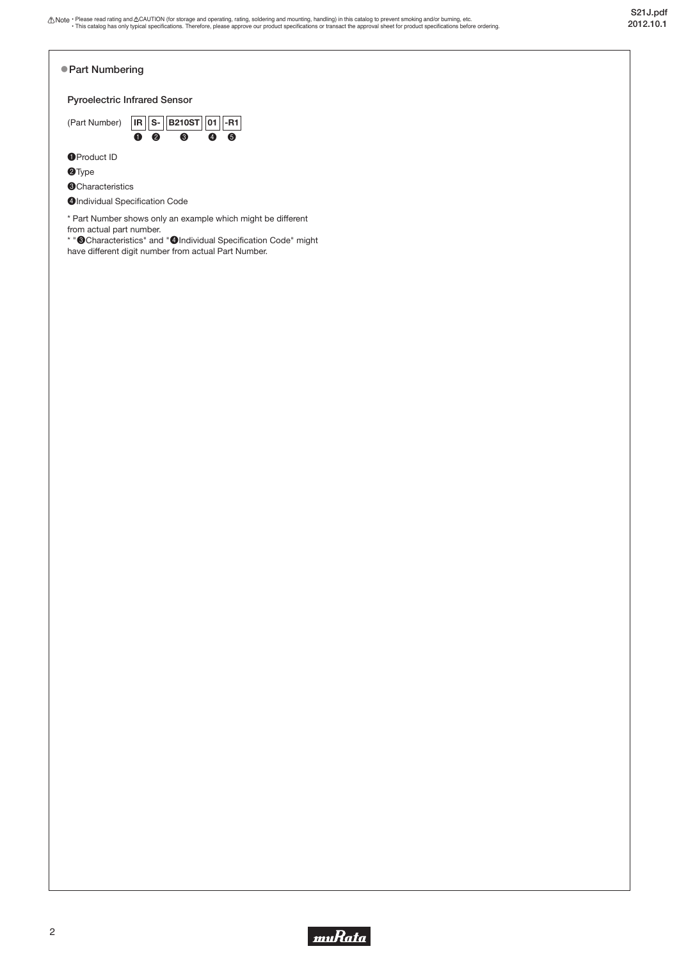<span id="page-3-0"></span>

\* Part Number shows only an example which might be different from actual part number.

\* "❸Characteristics" and "❹Individual Specification Code" might have different digit number from actual Part Number.

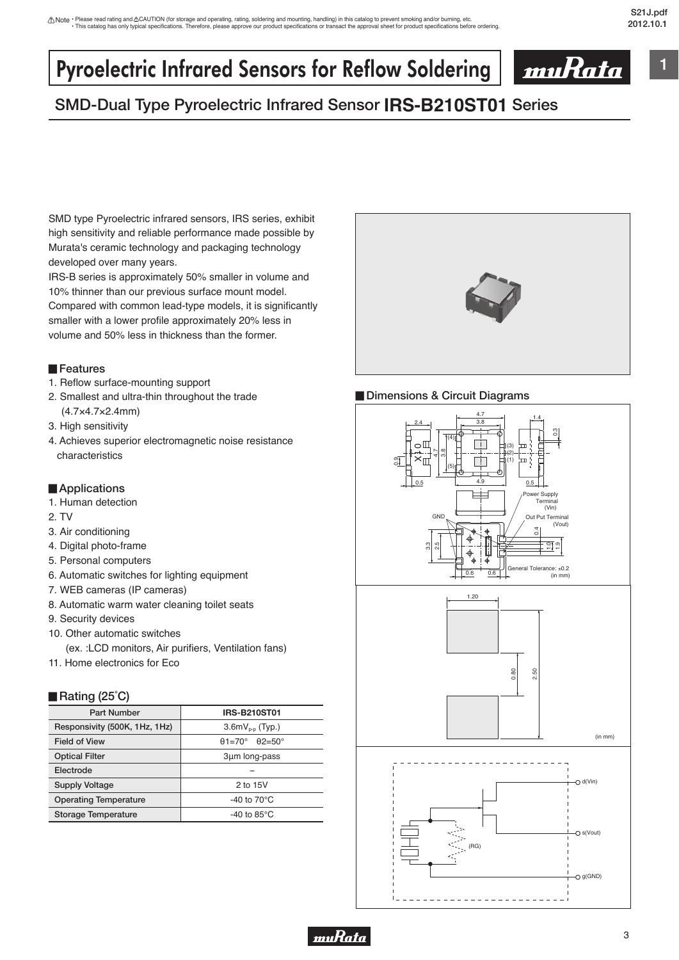**1**

# <span id="page-4-0"></span>Pyroelectric Infrared Sensors for Reflow Soldering



# **SMD-Dual Type Pyroelectric Infrared Sensor IRS-B210ST01 Series**

SMD type Pyroelectric infrared sensors, IRS series, exhibit high sensitivity and reliable performance made possible by Murata's ceramic technology and packaging technology developed over many years.

IRS-B series is approximately 50% smaller in volume and 10% thinner than our previous surface mount model. Compared with common lead-type models, it is significantly smaller with a lower profile approximately 20% less in volume and 50% less in thickness than the former.

#### ▊**Features**

- 1. Reflow surface-mounting support
- 2. Smallest and ultra-thin throughout the trade (4.7×4.7×2.4mm)
- 3. High sensitivity
- 4. Achieves superior electromagnetic noise resistance characteristics

### ▊**Applications**

- 1. Human detection
- 2. TV
- 3. Air conditioning
- 4. Digital photo-frame
- 5. Personal computers
- 6. Automatic switches for lighting equipment
- 7. WEB cameras (IP cameras)
- 8. Automatic warm water cleaning toilet seats
- 9. Security devices
- 10. Other automatic switches
	- (ex. :LCD monitors, Air purifiers, Ventilation fans)
- 11. Home electronics for Eco

### ▊**Rating (25˚C)**

| <b>Part Number</b>            | <b>IRS-B210ST01</b>                        |
|-------------------------------|--------------------------------------------|
| Responsivity (500K, 1Hz, 1Hz) | $3.6mVp-p$ (Typ.)                          |
| <b>Field of View</b>          | $\theta$ 1=70°<br>$\theta$ 2=50 $^{\circ}$ |
| <b>Optical Filter</b>         | 3µm long-pass                              |
| Electrode                     |                                            |
| <b>Supply Voltage</b>         | 2 to 15V                                   |
| <b>Operating Temperature</b>  | -40 to $70^{\circ}$ C                      |
| Storage Temperature           | -40 to 85 $\mathrm{^{\circ}C}$             |





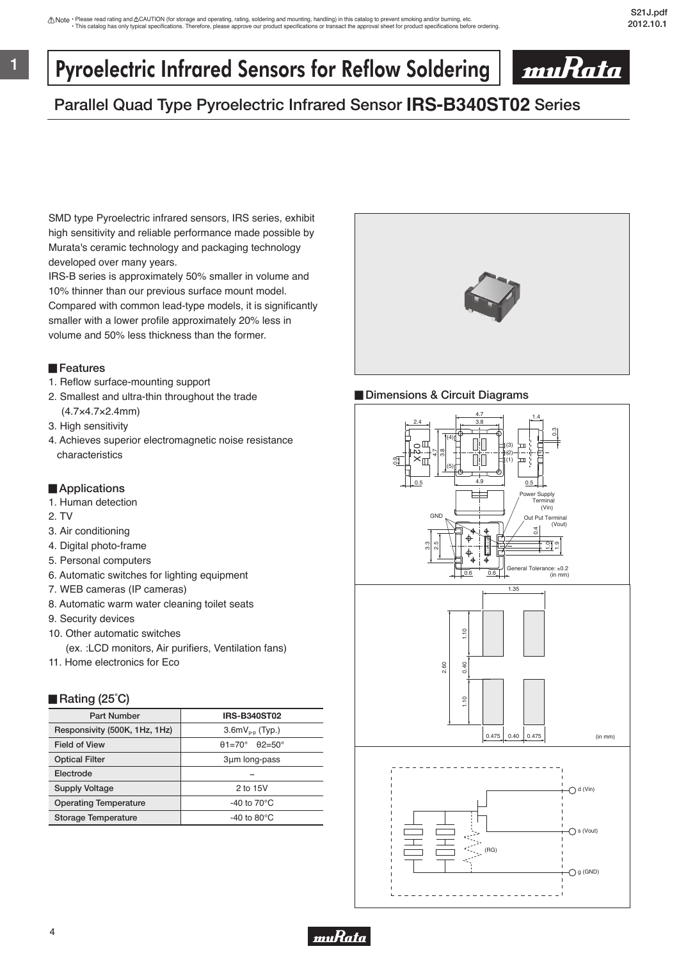# Pyroelectric Infrared Sensors for Reflow Soldering



# **Parallel Quad Type Pyroelectric Infrared Sensor IRS-B340ST02 Series**

SMD type Pyroelectric infrared sensors, IRS series, exhibit high sensitivity and reliable performance made possible by Murata's ceramic technology and packaging technology developed over many years.

IRS-B series is approximately 50% smaller in volume and 10% thinner than our previous surface mount model. Compared with common lead-type models, it is significantly smaller with a lower profile approximately 20% less in volume and 50% less thickness than the former.

#### ▊**Features**

**1**

- 1. Reflow surface-mounting support
- 2. Smallest and ultra-thin throughout the trade (4.7×4.7×2.4mm)
- 3. High sensitivity
- 4. Achieves superior electromagnetic noise resistance characteristics

### ▊**Applications**

- 1. Human detection
- 2. TV
- 3. Air conditioning
- 4. Digital photo-frame
- 5. Personal computers
- 6. Automatic switches for lighting equipment
- 7. WEB cameras (IP cameras)
- 8. Automatic warm water cleaning toilet seats
- 9. Security devices
- 10. Other automatic switches
	- (ex. :LCD monitors, Air purifiers, Ventilation fans)
- 11. Home electronics for Eco

### ■ Rating (25<sup>°</sup>C)

| <b>Part Number</b>            | <b>IRS-B340ST02</b>            |
|-------------------------------|--------------------------------|
| Responsivity (500K, 1Hz, 1Hz) | $3.6mVp-p$ (Typ.)              |
| <b>Field of View</b>          | $\theta$ 1=70° $\theta$ 2=50°  |
| <b>Optical Filter</b>         | 3um long-pass                  |
| Electrode                     |                                |
| <b>Supply Voltage</b>         | 2 to 15V                       |
| <b>Operating Temperature</b>  | -40 to $70^{\circ}$ C          |
| Storage Temperature           | -40 to 80 $\mathrm{^{\circ}C}$ |





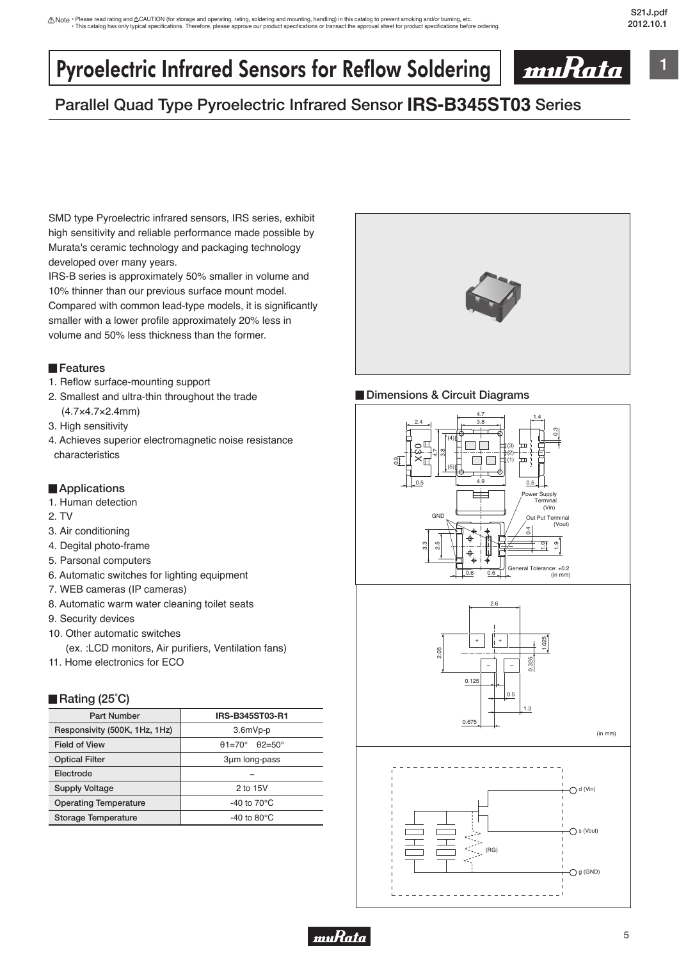**1**

# Pyroelectric Infrared Sensors for Reflow Soldering



# **Parallel Quad Type Pyroelectric Infrared Sensor IRS-B345ST03 Series**

SMD type Pyroelectric infrared sensors, IRS series, exhibit high sensitivity and reliable performance made possible by Murata's ceramic technology and packaging technology developed over many years.

IRS-B series is approximately 50% smaller in volume and 10% thinner than our previous surface mount model. Compared with common lead-type models, it is significantly smaller with a lower profile approximately 20% less in volume and 50% less thickness than the former.

#### ▊**Features**

- 1. Reflow surface-mounting support
- 2. Smallest and ultra-thin throughout the trade (4.7×4.7×2.4mm)
- 3. High sensitivity
- 4. Achieves superior electromagnetic noise resistance characteristics

### ▊**Applications**

- 1. Human detection
- 2. TV
- 3. Air conditioning
- 4. Degital photo-frame
- 5. Parsonal computers
- 6. Automatic switches for lighting equipment
- 7. WEB cameras (IP cameras)
- 8. Automatic warm water cleaning toilet seats
- 9. Security devices
- 10. Other automatic switches
	- (ex. :LCD monitors, Air purifiers, Ventilation fans)
- 11. Home electronics for ECO

### ■ Rating (25<sup>°</sup>C)

| <b>Part Number</b>            | IRS-B345ST03-R1                           |
|-------------------------------|-------------------------------------------|
| Responsivity (500K, 1Hz, 1Hz) | $3.6mVp-p$                                |
| <b>Field of View</b>          | $\theta$ 1=70°<br>$\theta$ 2=50 $\degree$ |
| <b>Optical Filter</b>         | 3µm long-pass                             |
| Electrode                     |                                           |
| <b>Supply Voltage</b>         | 2 to 15V                                  |
| <b>Operating Temperature</b>  | -40 to $70^{\circ}$ C                     |
| Storage Temperature           | -40 to 80 $\mathrm{^{\circ}C}$            |





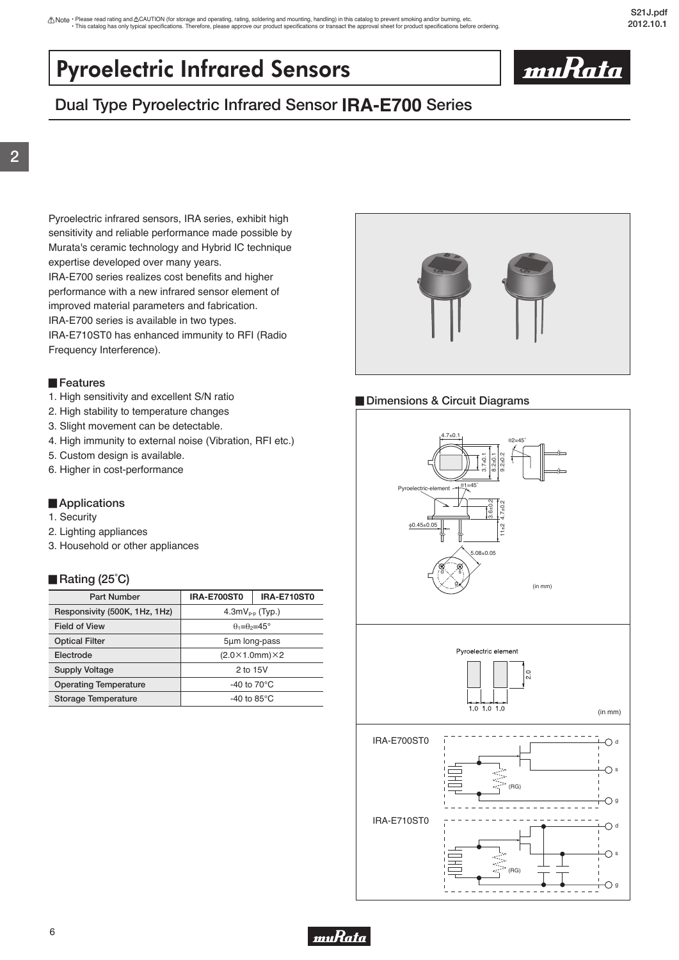# <span id="page-7-0"></span>Pyroelectric Infrared Sensors



# **Dual Type Pyroelectric Infrared Sensor IRA-E700 Series**

Pyroelectric infrared sensors, IRA series, exhibit high sensitivity and reliable performance made possible by Murata's ceramic technology and Hybrid IC technique expertise developed over many years. IRA-E700 series realizes cost benefits and higher performance with a new infrared sensor element of improved material parameters and fabrication.

IRA-E700 series is available in two types. IRA-E710ST0 has enhanced immunity to RFI (Radio Frequency Interference).

### ▊**Features**

- 1. High sensitivity and excellent S/N ratio
- 2. High stability to temperature changes
- 3. Slight movement can be detectable.
- 4. High immunity to external noise (Vibration, RFI etc.)
- 5. Custom design is available.
- 6. Higher in cost-performance

### ▊**Applications**

- 1. Security
- 2. Lighting appliances
- 3. Household or other appliances

### ▊**Rating (25˚C)**

| <b>Part Number</b>            | <b>IRA-E700ST0</b>               | <b>IRA-E710ST0</b>             |
|-------------------------------|----------------------------------|--------------------------------|
| Responsivity (500K, 1Hz, 1Hz) | $4.3mVp-p$ (Typ.)                |                                |
| <b>Field of View</b>          | $\theta_1 = \theta_2 = 45^\circ$ |                                |
| <b>Optical Filter</b>         | 5µm long-pass                    |                                |
| Electrode                     |                                  | $(2.0\times1.0$ mm $)\times2$  |
| Supply Voltage                | 2 to 15V                         |                                |
| <b>Operating Temperature</b>  |                                  | -40 to $70^{\circ}$ C          |
| <b>Storage Temperature</b>    |                                  | -40 to 85 $\mathrm{^{\circ}C}$ |





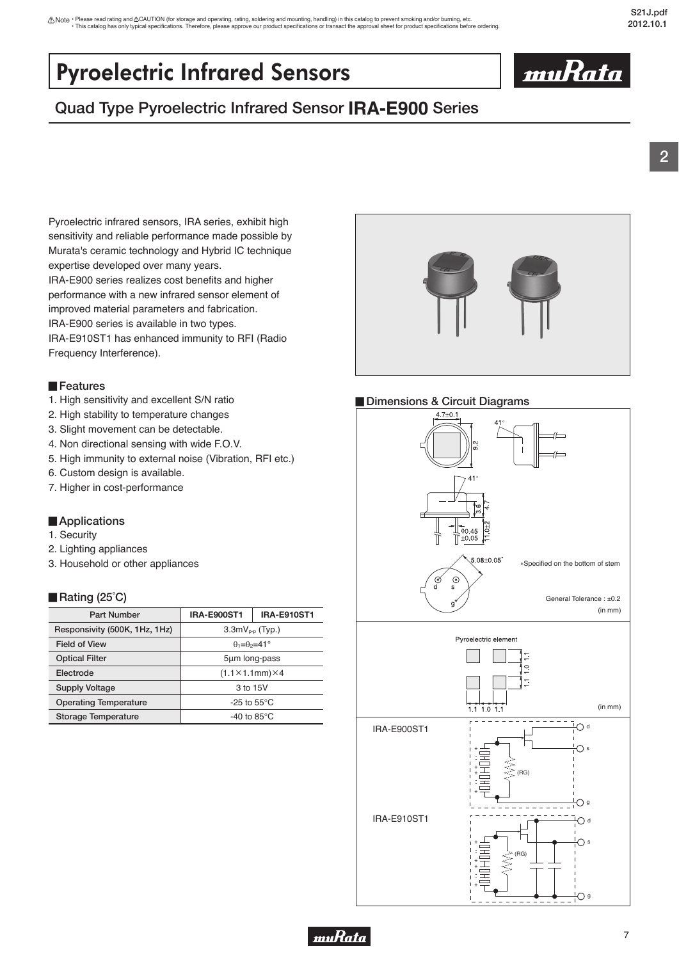# <span id="page-8-0"></span>Pyroelectric Infrared Sensors

# **Quad Type Pyroelectric Infrared Sensor IRA-E900 Series**

Pyroelectric infrared sensors, IRA series, exhibit high sensitivity and reliable performance made possible by Murata's ceramic technology and Hybrid IC technique expertise developed over many years. IRA-E900 series realizes cost benefits and higher performance with a new infrared sensor element of improved material parameters and fabrication. IRA-E900 series is available in two types. IRA-E910ST1 has enhanced immunity to RFI (Radio

Frequency Interference).

### ▊**Features**

- 1. High sensitivity and excellent S/N ratio
- 2. High stability to temperature changes
- 3. Slight movement can be detectable.
- 4. Non directional sensing with wide F.O.V.
- 5. High immunity to external noise (Vibration, RFI etc.)
- 6. Custom design is available.
- 7. Higher in cost-performance

### ■**Applications**

- 1. Security
- 2. Lighting appliances
- 3. Household or other appliances

### ■ Rating (25<sup>°</sup>C)

| <b>Part Number</b>            | <b>IRA-E900ST1</b>               | <b>IRA-E910ST1</b>                |
|-------------------------------|----------------------------------|-----------------------------------|
| Responsivity (500K, 1Hz, 1Hz) | $3.3mVp-p$ (Typ.)                |                                   |
| <b>Field of View</b>          | $\theta_1 = \theta_2 = 41^\circ$ |                                   |
| <b>Optical Filter</b>         | 5um long-pass                    |                                   |
| Electrode                     |                                  | $(1.1 \times 1.1$ mm $) \times 4$ |
| <b>Supply Voltage</b>         | 3 to 15V                         |                                   |
| <b>Operating Temperature</b>  |                                  | -25 to 55 $\mathrm{^{\circ}C}$    |
| Storage Temperature           |                                  | -40 to 85 $\mathrm{^{\circ}C}$    |



## ▊**Dimensions & Circuit Diagrams**



7



muRata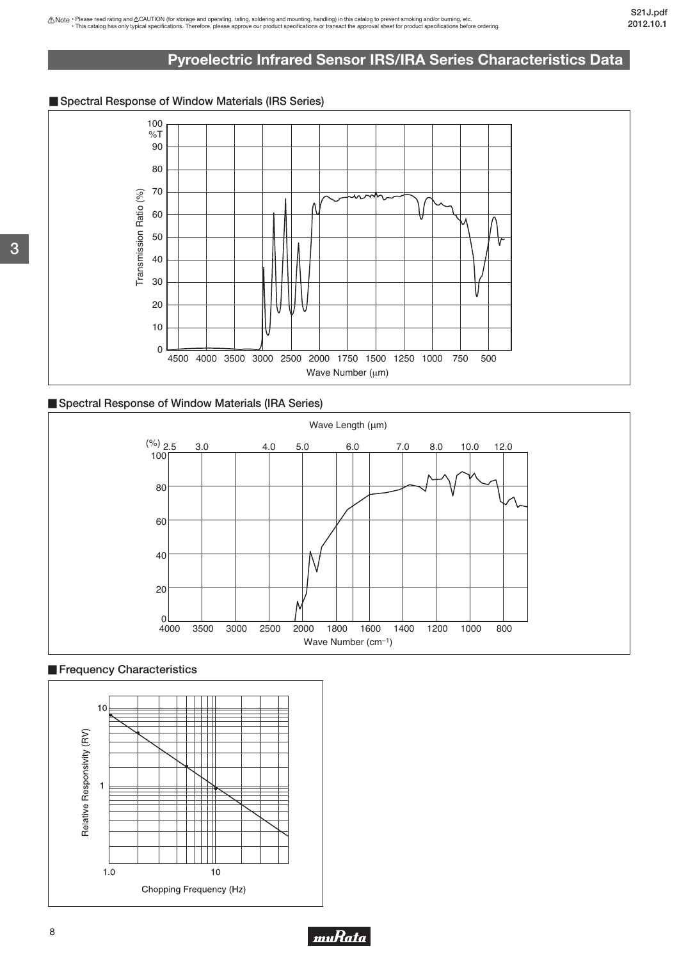## **Pyroelectric Infrared Sensor IRS/IRA Series Characteristics Data**

## <span id="page-9-0"></span>■ Spectral Response of Window Materials (IRS Series)



## ■ Spectral Response of Window Materials (IRA Series)



## **Frequency Characteristics**





8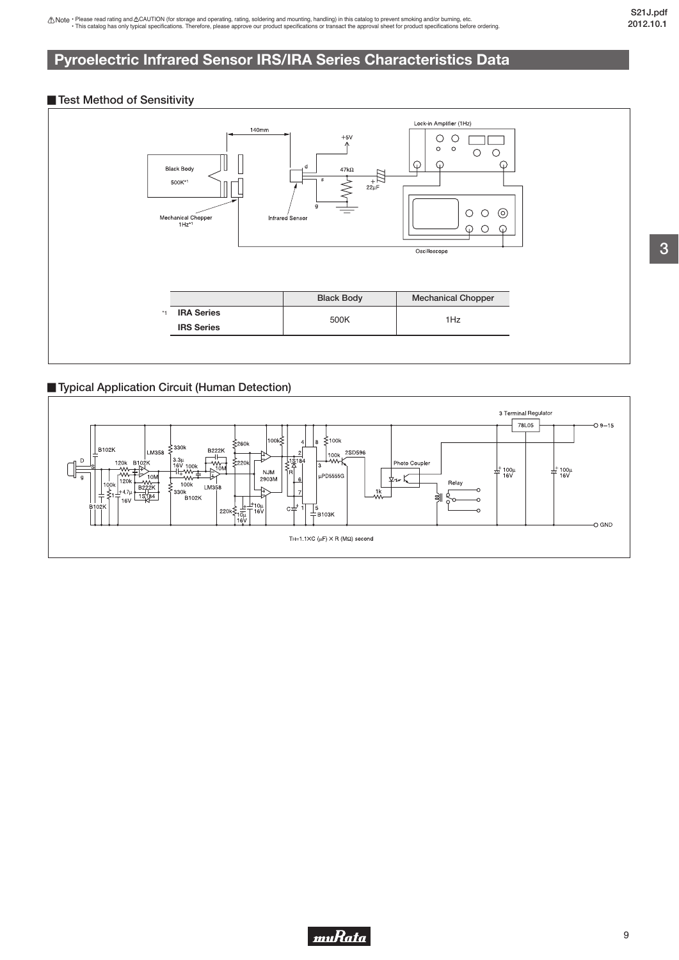## **Pyroelectric Infrared Sensor IRS/IRA Series Characteristics Data**

#### ■ Test Method of Sensitivity



### ▊**Typical Application Circuit (Human Detection)**



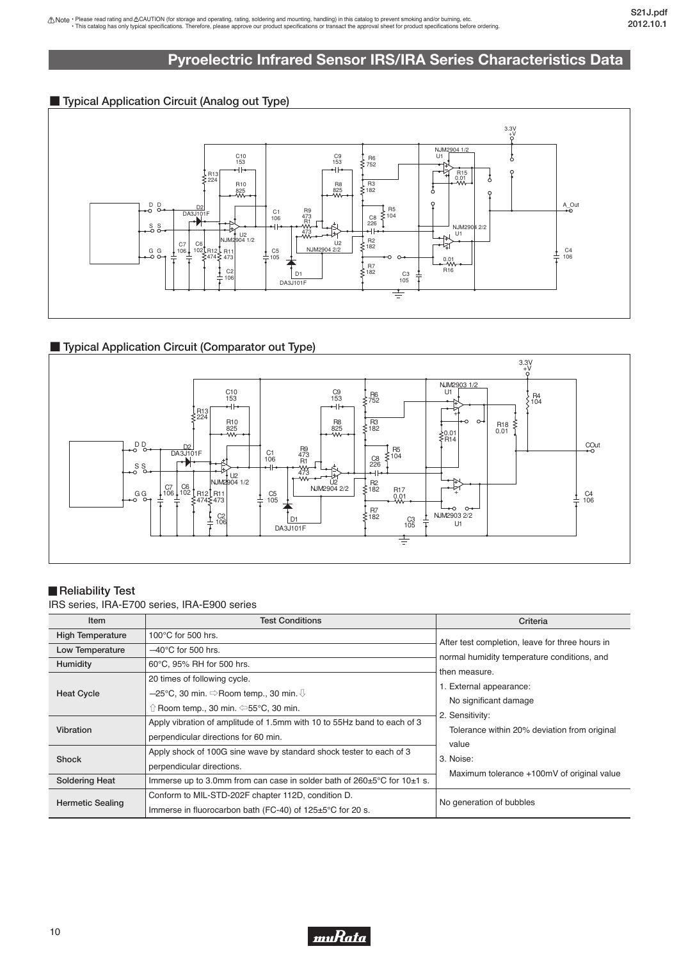## **Pyroelectric Infrared Sensor IRS/IRA Series Characteristics Data**

## ■ **Typical Application Circuit (Analog out Type)**



## ■ **Typical Application Circuit (Comparator out Type)**



## **Reliability Test**

IRS series, IRA-E700 series, IRA-E900 series

| Item                    | <b>Test Conditions</b>                                                           | Criteria                                        |  |
|-------------------------|----------------------------------------------------------------------------------|-------------------------------------------------|--|
| <b>High Temperature</b> | 100 $\degree$ C for 500 hrs.                                                     | After test completion, leave for three hours in |  |
| Low Temperature         | $-40^{\circ}$ C for 500 hrs.                                                     | normal humidity temperature conditions, and     |  |
| Humidity                | 60°C, 95% RH for 500 hrs.                                                        |                                                 |  |
|                         | 20 times of following cycle.                                                     | then measure.                                   |  |
| <b>Heat Cycle</b>       | $-25^{\circ}$ C, 30 min. $\Rightarrow$ Room temp., 30 min. $\mathbb{\Downarrow}$ | 1. External appearance:                         |  |
|                         | $\Uparrow$ Room temp., 30 min. $\Leftarrow$ 55°C, 30 min.                        | No significant damage                           |  |
| Vibration               | Apply vibration of amplitude of 1.5mm with 10 to 55Hz band to each of 3          | 2. Sensitivity:                                 |  |
|                         | perpendicular directions for 60 min.                                             | Tolerance within 20% deviation from original    |  |
|                         | Apply shock of 100G sine wave by standard shock tester to each of 3              | value                                           |  |
| Shock                   | perpendicular directions.                                                        | 3. Noise:                                       |  |
| <b>Soldering Heat</b>   | Immerse up to 3.0mm from can case in solder bath of 260±5°C for 10±1 s.          | Maximum tolerance +100mV of original value      |  |
|                         | Conform to MIL-STD-202F chapter 112D, condition D.                               |                                                 |  |
| <b>Hermetic Sealing</b> | Immerse in fluorocarbon bath (FC-40) of 125±5°C for 20 s.                        | No generation of bubbles                        |  |
|                         |                                                                                  |                                                 |  |

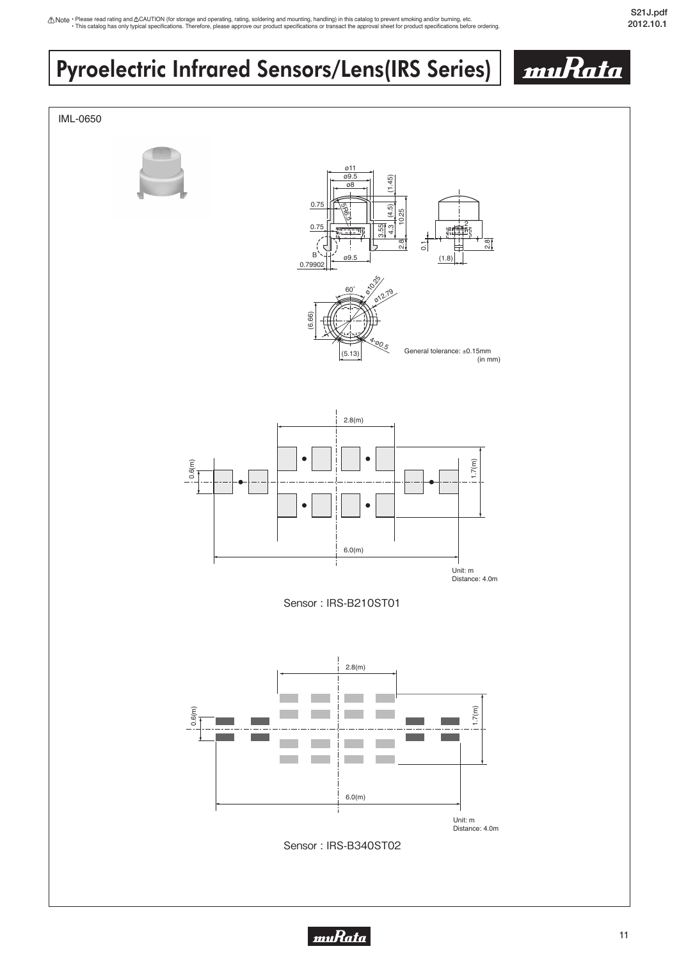# <span id="page-12-0"></span>Pyroelectric Infrared Sensors/Lens(IRS Series)



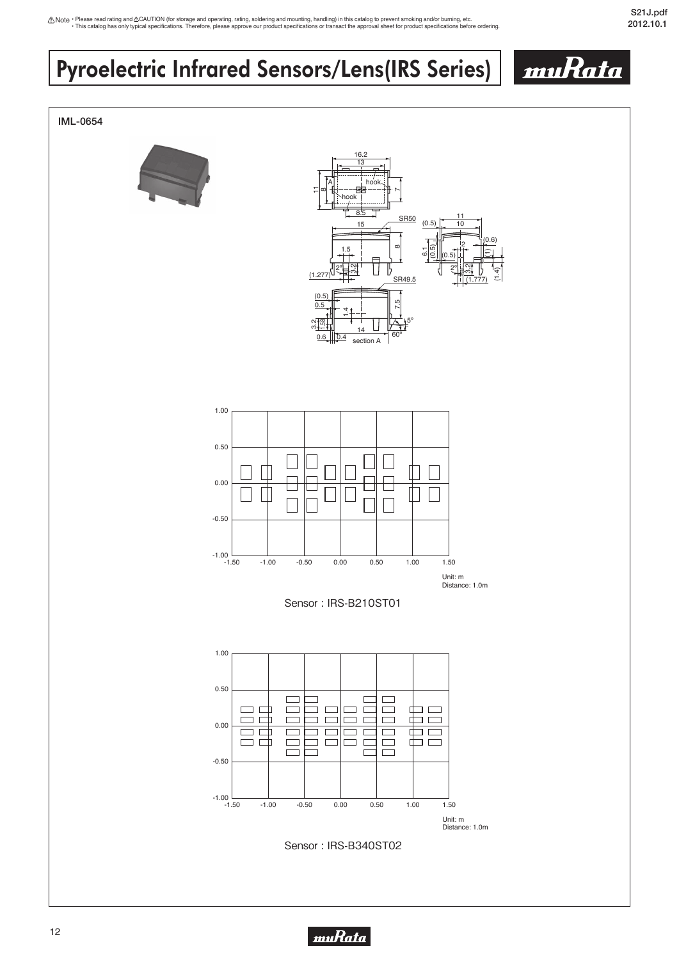# Pyroelectric Infrared Sensors/Lens(IRS Series)



muRata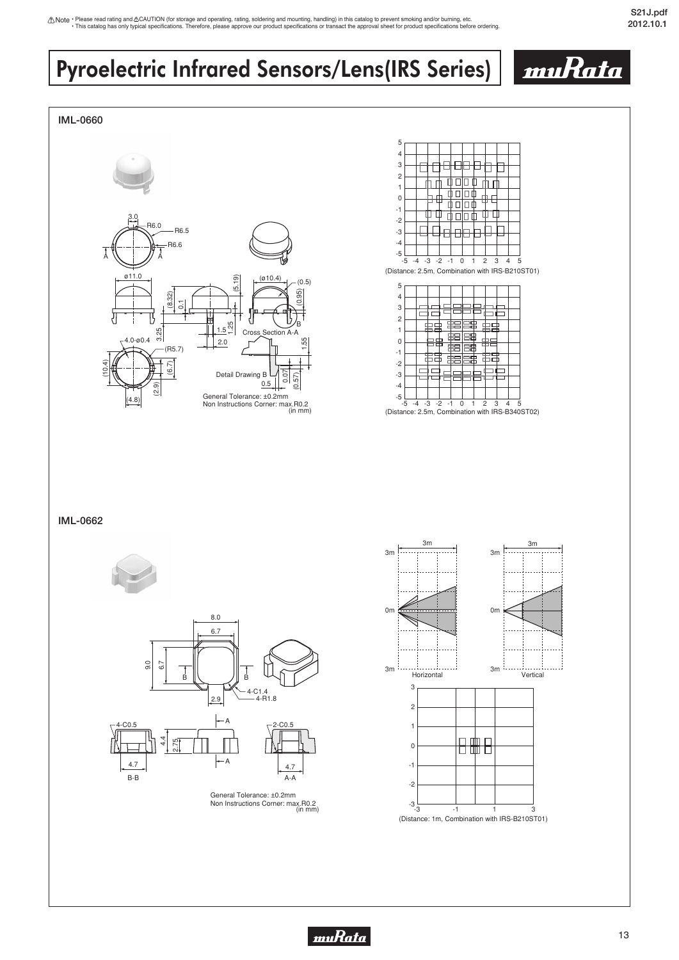# Pyroelectric Infrared Sensors/Lens(IRS Series)

#### **IML-0660**







**IML-0662**



(in mm) General Tolerance: ±0.2mm Non Instructions Corner: max.R0.2





<u>muRata</u>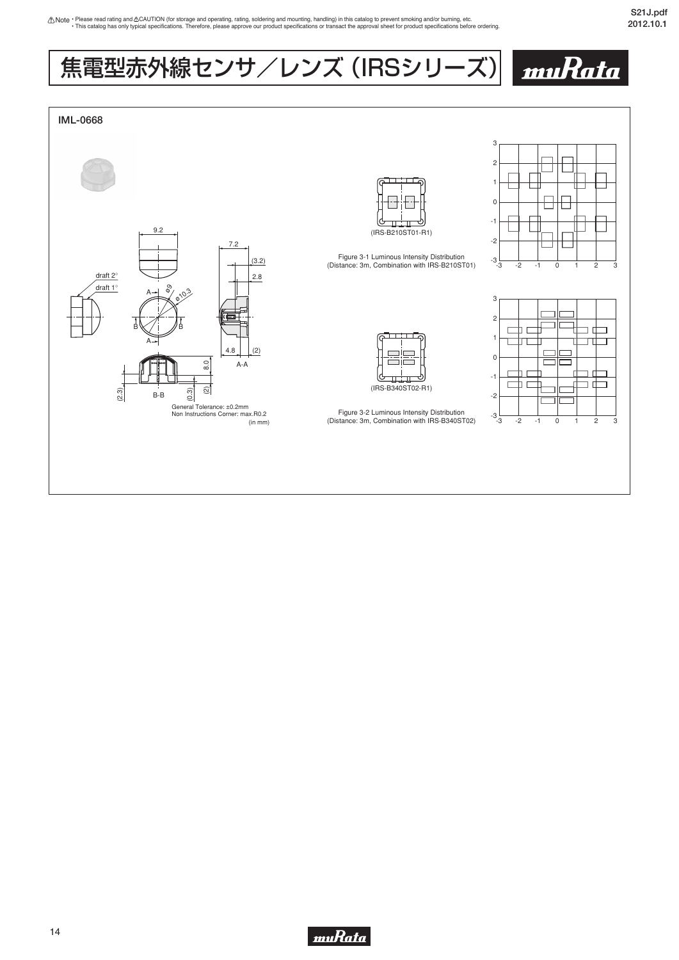muRata

# 焦電型赤外線センサ/レンズ (IRSシリーズ)



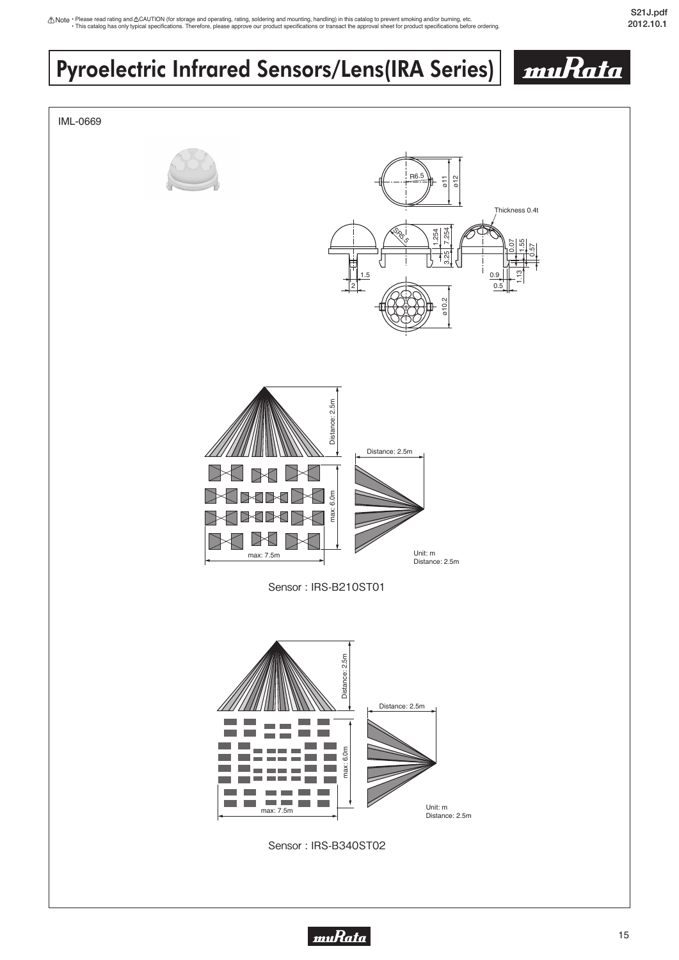## Pyroelectric Infrared Sensors/Lens(IRA Series) muRata IML-0669 R6.5 ø11  $\frac{2}{2}$ Thickness 0.4t es.<br>Ses. 3.25 7.254 1.254 0.07 1.55 0.57  $\left\{ \right\}$ 1.13 1.5 0.9 2 0.5 ø10.2 Distance: 2.5m Distance: 2.5m Distance: 2.5m √  $\rightarrow$  $\epsilon$ **BABA** max: 6.0m max ∢⊠  $\triangleleft$ Unit: m max: 7.5m Distance: 2.5m Sensor : IRS-B210ST01  $2.5m$ Distance: 2.5m Distance: Distance: 2.5m max: 6.0m max: 6.0m

Sensor : IRS-B340ST02

П

**College College** 

> Unit: m Distance: 2.5m

max: 7.5m

 $\overline{\phantom{0}}$ la ser

**Contract** 

**College** 

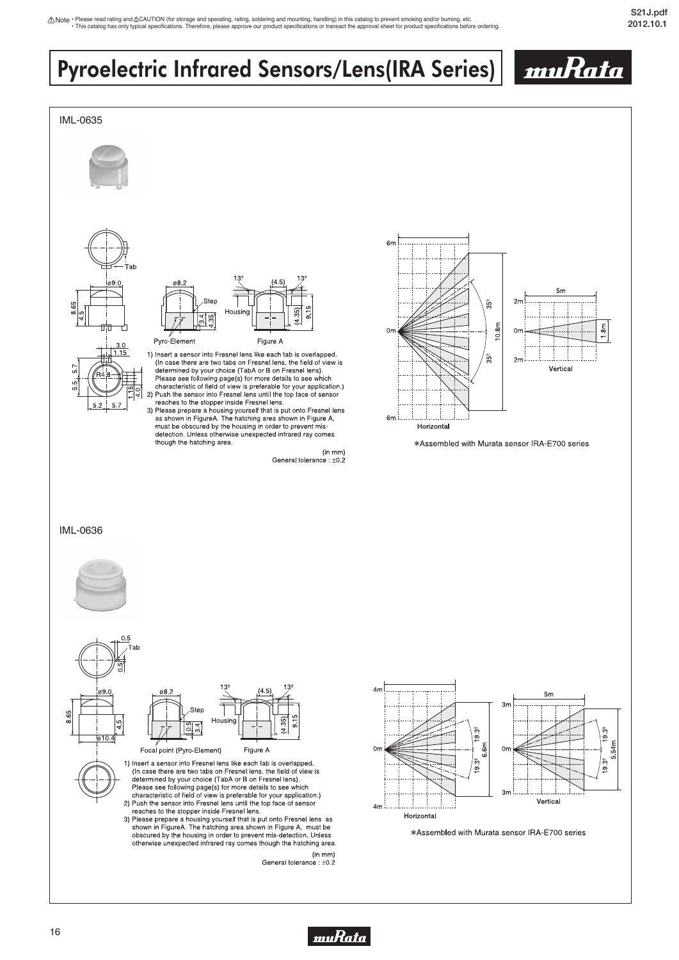muRata

# Pyroelectric Infrared Sensors/Lens(IRA Series)



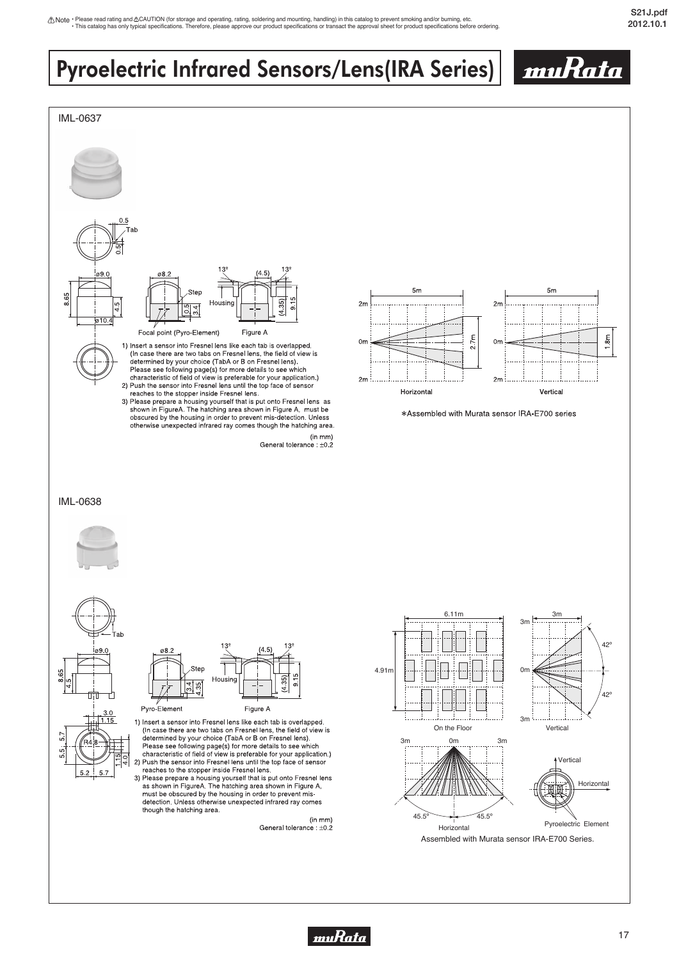# Pyroelectric Infrared Sensors/Lens(IRA Series)



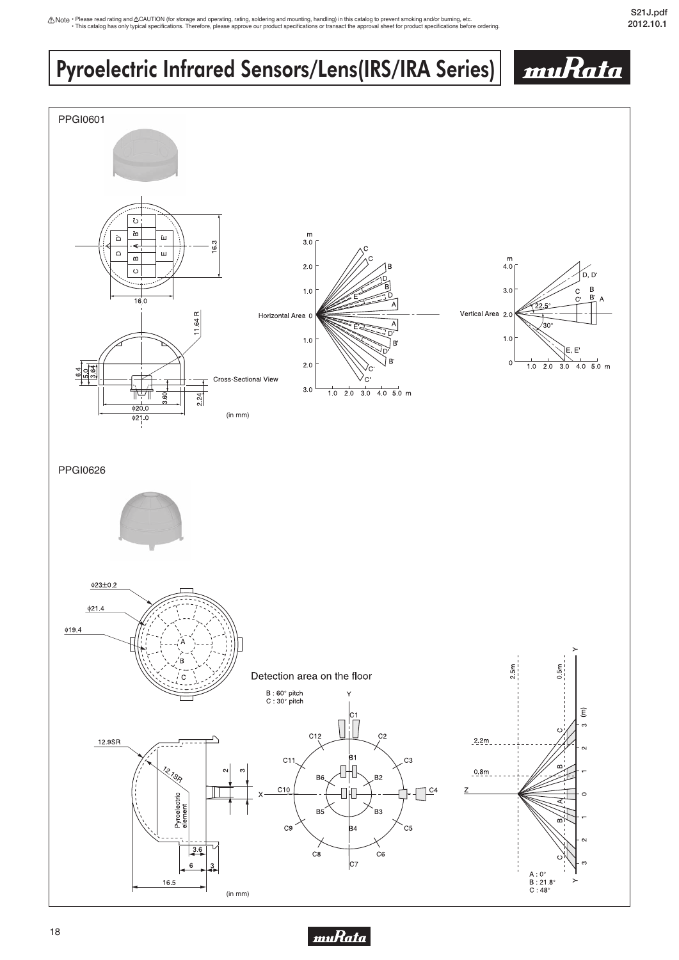# Pyroelectric Infrared Sensors/Lens(IRS/IRA Series)





muRata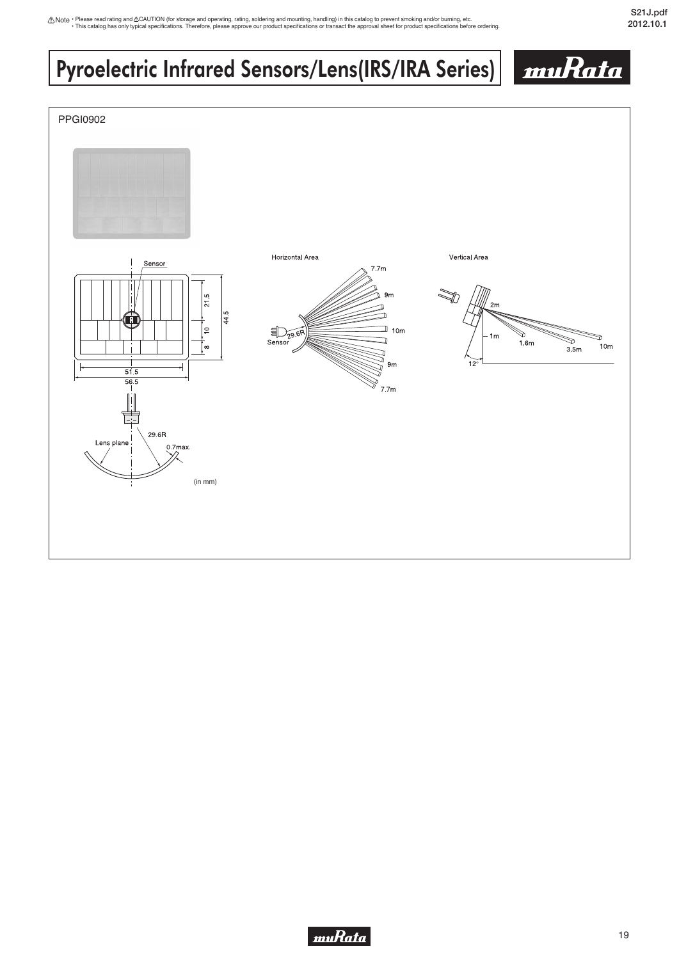# Pyroelectric Infrared Sensors/Lens(IRS/IRA Series)





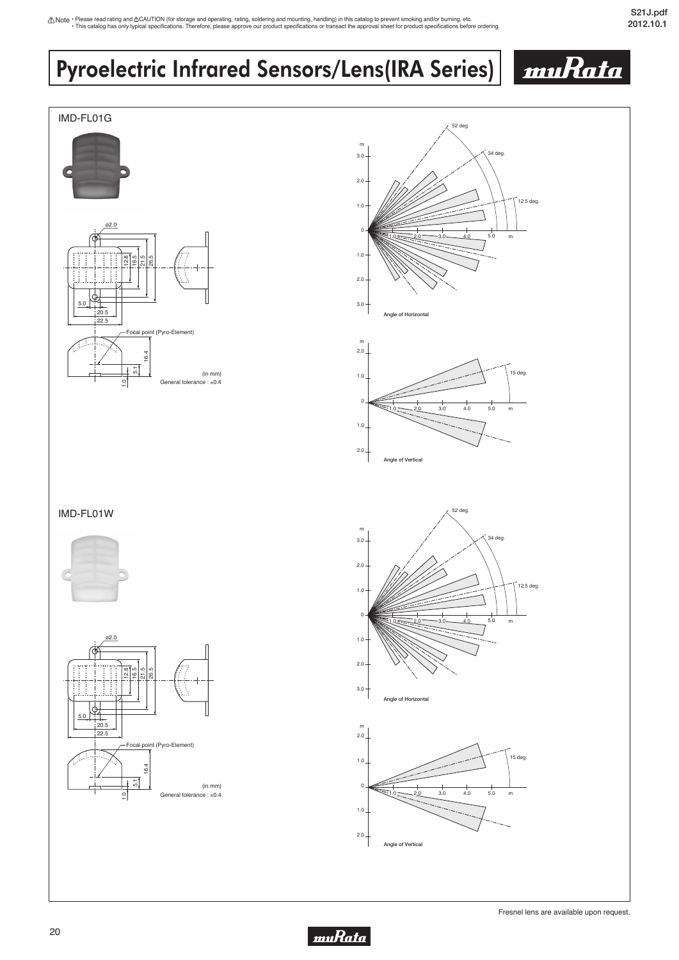# Pyroelectric Infrared Sensors/Lens(IRA Series)



muRata

muRata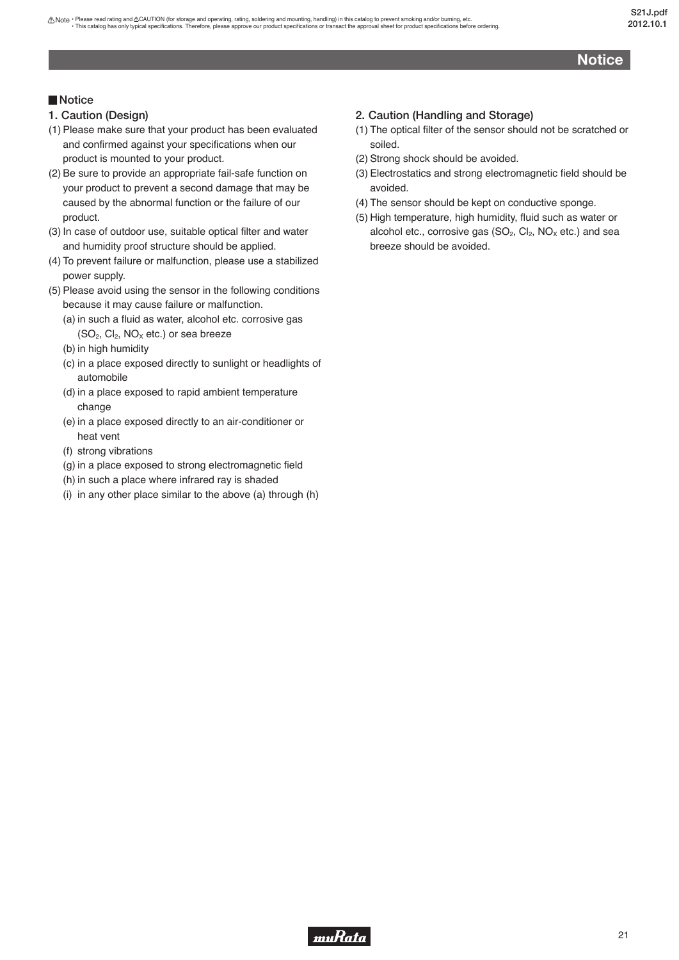## **Notice**

## <span id="page-22-0"></span>▊**Notice**

- **1. Caution (Design)**
- (1) Please make sure that your product has been evaluated and confirmed against your specifications when our product is mounted to your product.
- (2) Be sure to provide an appropriate fail-safe function on your product to prevent a second damage that may be caused by the abnormal function or the failure of our product.
- (3) In case of outdoor use, suitable optical filter and water and humidity proof structure should be applied.
- (4) To prevent failure or malfunction, please use a stabilized power supply.
- (5) Please avoid using the sensor in the following conditions because it may cause failure or malfunction.
	- (a) in such a fluid as water, alcohol etc. corrosive gas  $(SO<sub>2</sub>, Cl<sub>2</sub>, NO<sub>X</sub> etc.)$  or sea breeze
	- (b) in high humidity
	- (c) in a place exposed directly to sunlight or headlights of automobile
	- (d) in a place exposed to rapid ambient temperature change
	- (e) in a place exposed directly to an air-conditioner or heat vent
	- (f) strong vibrations
	- (g) in a place exposed to strong electromagnetic field
	- (h) in such a place where infrared ray is shaded
	- (i) in any other place similar to the above (a) through (h)

## **2. Caution (Handling and Storage)**

- (1) The optical filter of the sensor should not be scratched or soiled.
- (2) Strong shock should be avoided.
- (3) Electrostatics and strong electromagnetic field should be avoided.
- (4) The sensor should be kept on conductive sponge.
- (5) High temperature, high humidity, fluid such as water or alcohol etc., corrosive gas  $(SO_2, Cl_2, NO_X$  etc.) and sea breeze should be avoided.

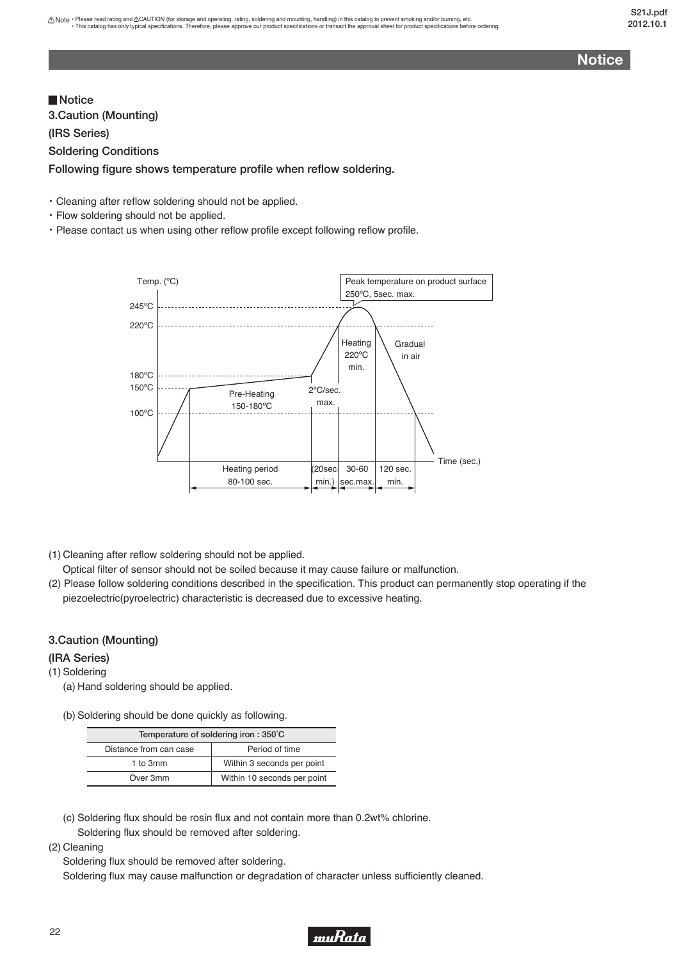**Notice**

**3.Caution (Mounting) (IRS Series) Soldering Conditions Following figure shows temperature profile when reflow soldering.** ▊**Notice**

・Cleaning after reflow soldering should not be applied.

- ・Flow soldering should not be applied.
- ・Please contact us when using other reflow profile except following reflow profile.



(1) Cleaning after reflow soldering should not be applied.

Optical filter of sensor should not be soiled because it may cause failure or malfunction.

(2) Please follow soldering conditions described in the specification. This product can permanently stop operating if the piezoelectric(pyroelectric) characteristic is decreased due to excessive heating.

### **3.Caution (Mounting)**

### **(IRA Series)**

(1) Soldering

- (a) Hand soldering should be applied.
- (b) Soldering should be done quickly as following.

| Temperature of soldering iron: 350°C |                             |
|--------------------------------------|-----------------------------|
| Distance from can case               | Period of time              |
| 1 to 3mm                             | Within 3 seconds per point  |
| Over 3mm                             | Within 10 seconds per point |

- (c) Soldering flux should be rosin flux and not contain more than 0.2wt% chlorine. Soldering flux should be removed after soldering.
- (2) Cleaning

Soldering flux should be removed after soldering.

Soldering flux may cause malfunction or degradation of character unless sufficiently cleaned.